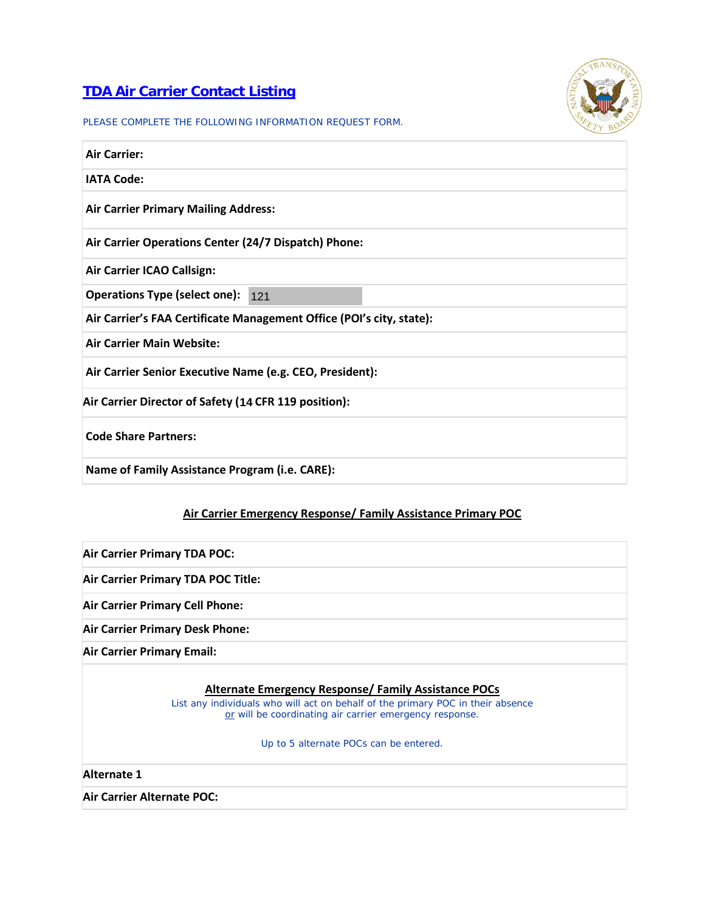## **TDA Air Carrier Contact Listing**



PLEASE COMPLETE THE FOLLOWING INFORMATION REQUEST FORM.

## **Air Carrier:**

**IATA Code:**

**Air Carrier Primary Mailing Address:**

**Air Carrier Operations Center (24/7 Dispatch) Phone:**

**Air Carrier ICAO Callsign:**

**Operations Type (select one):**  121

**Air Carrier's FAA Certificate Management Office (POI's city, state):**

**Air Carrier Main Website:**

**Air Carrier Senior Executive Name (e.g. CEO, President):**

Air Carrier Director of Safety (14 CFR 119 position):

**Code Share Partners:**

**Name of Family Assistance Program (i.e. CARE):**

## **Air Carrier Emergency Response/ Family Assistance Primary POC**

**Air Carrier Primary TDA POC:**

**Air Carrier Primary TDA POC Title:**

**Air Carrier Primary Cell Phone:**

**Air Carrier Primary Desk Phone:**

**Air Carrier Primary Email:**

## **Alternate Emergency Response/ Family Assistance POCs**

List any individuals who will act on behalf of the primary POC in their absence or will be coordinating air carrier emergency response.

Up to 5 alternate POCs can be entered.

**Alternate 1**

**Air Carrier Alternate POC:**